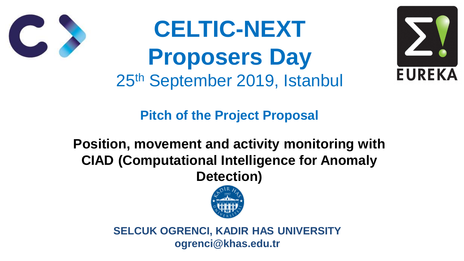**Pitch of the Project Proposal**

## **Position, movement and activity monitoring with CIAD (Computational Intelligence for Anomaly Detection)**







# **CELTIC-NEXT Proposers Day** 25th September 2019, Istanbul



**SELCUK OGRENCI, KADIR HAS UNIVERSITY ogrenci@khas.edu.tr**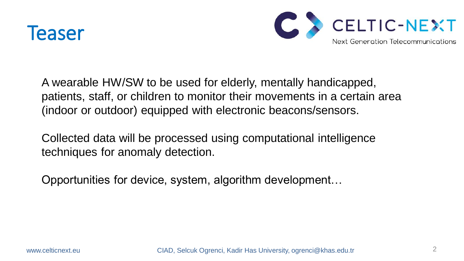

A wearable HW/SW to be used for elderly, mentally handicapped, (indoor or outdoor) equipped with electronic beacons/sensors.

- patients, staff, or children to monitor their movements in a certain area
	-

Collected data will be processed using computational intelligence techniques for anomaly detection.

Opportunities for device, system, algorithm development…

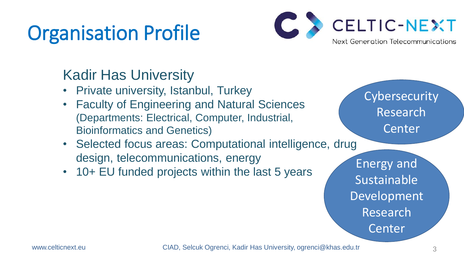# Organisation Profile

- Private university, Istanbul, Turkey
- Faculty of Engineering and Natural Sciences (Departments: Electrical, Computer, Industrial, Bioinformatics and Genetics)
- Selected focus areas: Computational intelligence, drug design, telecommunications, energy
- 10+ EU funded projects within the last 5 years

3



## Kadir Has University

**Cybersecurity** Research Center

Energy and Sustainable Development Research Center

www.celticnext.eu CIAD, Selcuk Ogrenci, Kadir Has University, ogrenci@khas.edu.tr



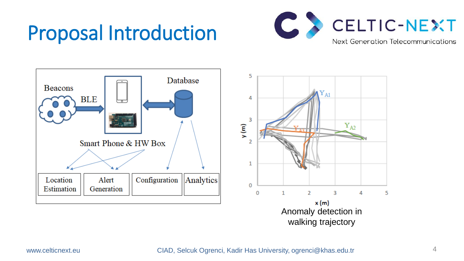# Proposal Introduction





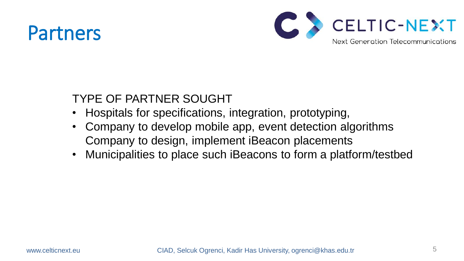## Partners

### TYPE OF PARTNER SOUGHT

- Company to develop mobile app, event detection algorithms Company to design, implement iBeacon placements
- 
- Hospitals for specifications, integration, prototyping, • Municipalities to place such iBeacons to form a platform/testbed